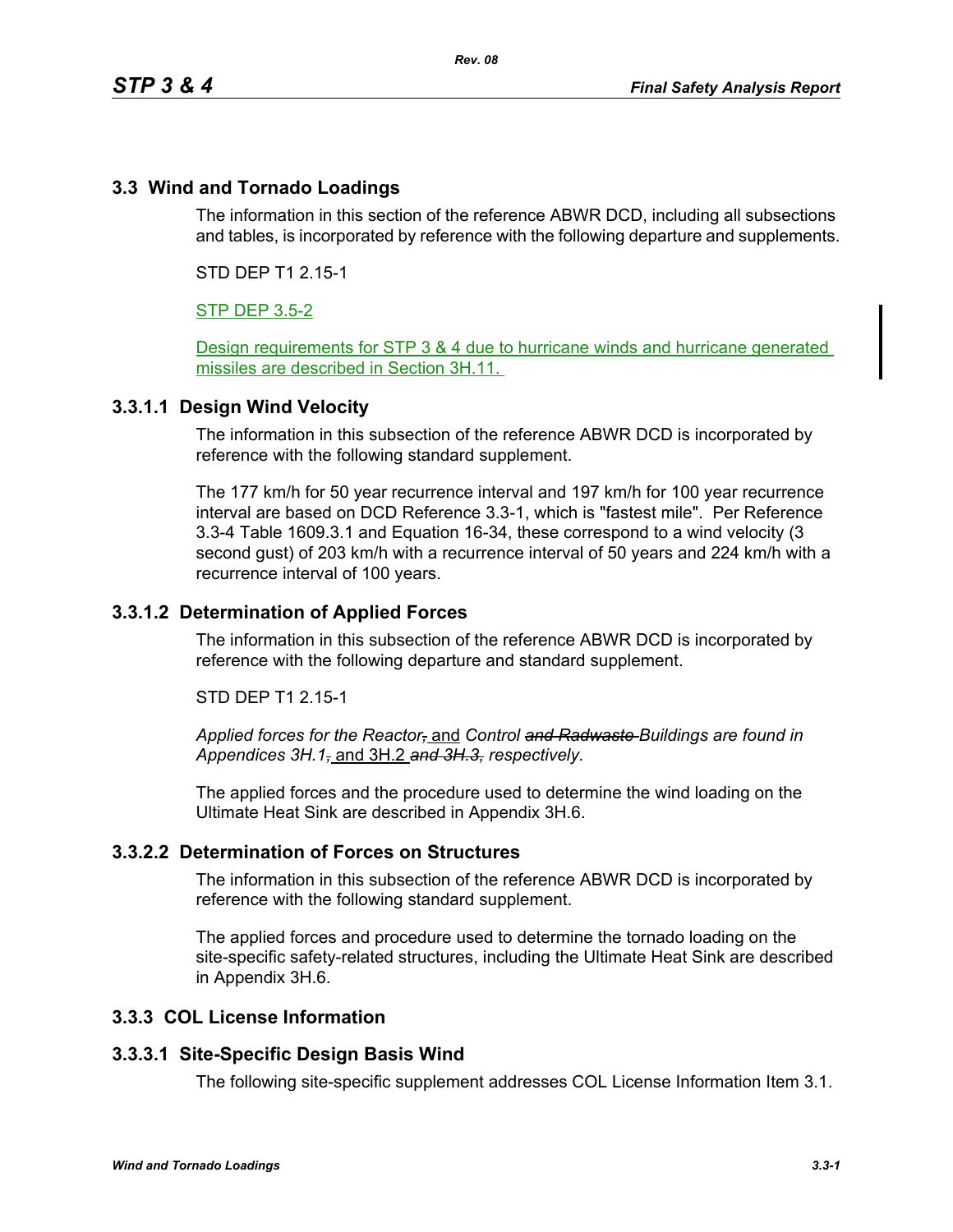# **3.3 Wind and Tornado Loadings**

The information in this section of the reference ABWR DCD, including all subsections and tables, is incorporated by reference with the following departure and supplements.

STD DEP T1 2.15-1

## STP DEP 3.5-2

Design requirements for STP 3 & 4 due to hurricane winds and hurricane generated missiles are described in Section 3H.11.

#### **3.3.1.1 Design Wind Velocity**

The information in this subsection of the reference ABWR DCD is incorporated by reference with the following standard supplement.

The 177 km/h for 50 year recurrence interval and 197 km/h for 100 year recurrence interval are based on DCD Reference 3.3-1, which is "fastest mile". Per Reference 3.3-4 Table 1609.3.1 and Equation 16-34, these correspond to a wind velocity (3 second gust) of 203 km/h with a recurrence interval of 50 years and 224 km/h with a recurrence interval of 100 years.

## **3.3.1.2 Determination of Applied Forces**

The information in this subsection of the reference ABWR DCD is incorporated by reference with the following departure and standard supplement.

STD DEP T1 2.15-1

*Applied forces for the Reactor,* and *Control and Radwaste Buildings are found in Appendices 3H.1,* and 3H.2 *and 3H.3, respectively.*

The applied forces and the procedure used to determine the wind loading on the Ultimate Heat Sink are described in Appendix 3H.6.

#### **3.3.2.2 Determination of Forces on Structures**

The information in this subsection of the reference ABWR DCD is incorporated by reference with the following standard supplement.

The applied forces and procedure used to determine the tornado loading on the site-specific safety-related structures, including the Ultimate Heat Sink are described in Appendix 3H.6.

#### **3.3.3 COL License Information**

#### **3.3.3.1 Site-Specific Design Basis Wind**

The following site-specific supplement addresses COL License Information Item 3.1.